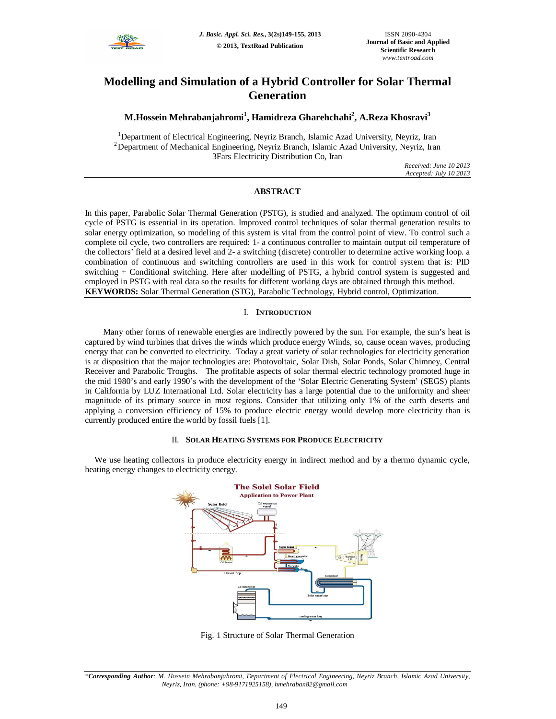

# **Modelling and Simulation of a Hybrid Controller for Solar Thermal Generation**

# **M.Hossein Mehrabanjahromi<sup>1</sup> , Hamidreza Gharehchahi<sup>2</sup> , A.Reza Khosravi<sup>3</sup>**

<sup>1</sup>Department of Electrical Engineering, Neyriz Branch, Islamic Azad University, Neyriz, Iran <sup>2</sup>Department of Mechanical Engineering, Neyriz Branch, Islamic Azad University, Neyriz, Iran 3Fars Electricity Distribution Co, Iran

> *Received: June 10 2013 Accepted: July 10 2013*

## **ABSTRACT**

In this paper, Parabolic Solar Thermal Generation (PSTG), is studied and analyzed. The optimum control of oil cycle of PSTG is essential in its operation. Improved control techniques of solar thermal generation results to solar energy optimization, so modeling of this system is vital from the control point of view. To control such a complete oil cycle, two controllers are required: 1- a continuous controller to maintain output oil temperature of the collectors' field at a desired level and 2- a switching (discrete) controller to determine active working loop. a combination of continuous and switching controllers are used in this work for control system that is: PID switching + Conditional switching. Here after modelling of PSTG, a hybrid control system is suggested and employed in PSTG with real data so the results for different working days are obtained through this method. **KEYWORDS:** Solar Thermal Generation (STG), Parabolic Technology, Hybrid control, Optimization.

### I. **INTRODUCTION**

Many other forms of renewable energies are indirectly powered by the sun. For example, the sun's heat is captured by wind turbines that drives the winds which produce energy Winds, so, cause ocean waves, producing energy that can be converted to electricity. Today a great variety of solar technologies for electricity generation is at disposition that the major technologies are: Photovoltaic, Solar Dish, Solar Ponds, Solar Chimney, Central Receiver and Parabolic Troughs. The profitable aspects of solar thermal electric technology promoted huge in the mid 1980's and early 1990's with the development of the 'Solar Electric Generating System' (SEGS) plants in California by LUZ International Ltd. Solar electricity has a large potential due to the uniformity and sheer magnitude of its primary source in most regions. Consider that utilizing only 1% of the earth deserts and applying a conversion efficiency of 15% to produce electric energy would develop more electricity than is currently produced entire the world by fossil fuels [1].

### II. **SOLAR HEATING SYSTEMS FOR PRODUCE ELECTRICITY**

We use heating collectors in produce electricity energy in indirect method and by a thermo dynamic cycle, heating energy changes to electricity energy.



Fig. 1 Structure of Solar Thermal Generation

*<sup>\*</sup>Corresponding Author: M. Hossein Mehrabanjahromi, Department of Electrical Engineering, Neyriz Branch, Islamic Azad University, Neyriz, Iran. (phone: +98-9171925158), hmehraban82@gmail.com*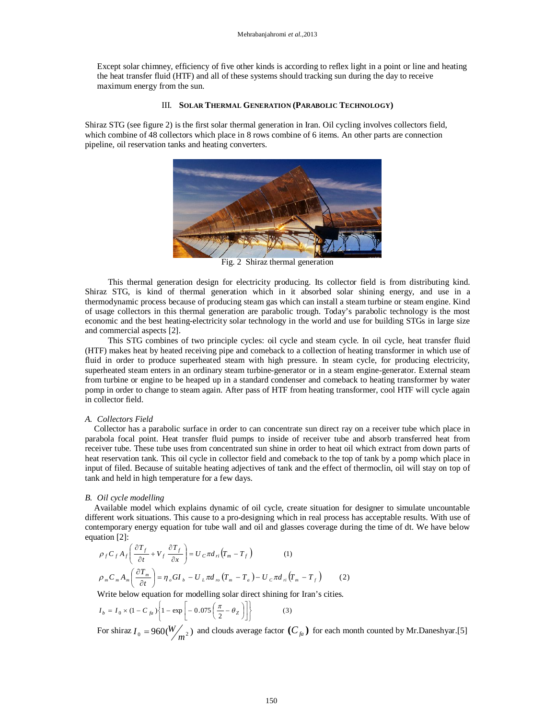Except solar chimney, efficiency of five other kinds is according to reflex light in a point or line and heating the heat transfer fluid (HTF) and all of these systems should tracking sun during the day to receive maximum energy from the sun*.*

### III. **SOLAR THERMAL GENERATION (PARABOLIC TECHNOLOGY)**

Shiraz STG (see figure 2) is the first solar thermal generation in Iran. Oil cycling involves collectors field, which combine of 48 collectors which place in 8 rows combine of 6 items. An other parts are connection pipeline, oil reservation tanks and heating converters.



Fig. 2 Shiraz thermal generation

This thermal generation design for electricity producing. Its collector field is from distributing kind. Shiraz STG, is kind of thermal generation which in it absorbed solar shining energy, and use in a thermodynamic process because of producing steam gas which can install a steam turbine or steam engine. Kind of usage collectors in this thermal generation are parabolic trough. Today's parabolic technology is the most economic and the best heating-electricity solar technology in the world and use for building STGs in large size and commercial aspects [2].

This STG combines of two principle cycles: oil cycle and steam cycle. In oil cycle, heat transfer fluid (HTF) makes heat by heated receiving pipe and comeback to a collection of heating transformer in which use of fluid in order to produce superheated steam with high pressure. In steam cycle, for producing electricity, superheated steam enters in an ordinary steam turbine-generator or in a steam engine-generator. External steam from turbine or engine to be heaped up in a standard condenser and comeback to heating transformer by water pomp in order to change to steam again. After pass of HTF from heating transformer, cool HTF will cycle again in collector field.

### *A. Collectors Field*

Collector has a parabolic surface in order to can concentrate sun direct ray on a receiver tube which place in parabola focal point. Heat transfer fluid pumps to inside of receiver tube and absorb transferred heat from receiver tube. These tube uses from concentrated sun shine in order to heat oil which extract from down parts of heat reservation tank. This oil cycle in collector field and comeback to the top of tank by a pomp which place in input of filed. Because of suitable heating adjectives of tank and the effect of thermoclin, oil will stay on top of tank and held in high temperature for a few days.

### *B. Oil cycle modelling*

Available model which explains dynamic of oil cycle, create situation for designer to simulate uncountable different work situations. This cause to a pro-designing which in real process has acceptable results. With use of contemporary energy equation for tube wall and oil and glasses coverage during the time of dt. We have below equation [2]:

$$
\rho_f C_f A_f \left( \frac{\partial T_f}{\partial t} + V_f \frac{\partial T_f}{\partial x} \right) = U_C \pi d_{ri} \left( T_m - T_f \right) \tag{1}
$$
\n
$$
\rho_m C_m A_m \left( \frac{\partial T_m}{\partial t} \right) = \eta_o G I_b - U_L \pi d_m \left( T_m - T_a \right) - U_C \pi d_{ri} \left( T_m - T_f \right) \tag{2}
$$

Write below equation for modelling solar direct shining for Iran's cities*.*

$$
I_b = I_0 \times (1 - C_{fa}) \left\{ 1 - \exp \left[ -0.075 \left( \frac{\pi}{2} - \theta_Z \right) \right] \right\}
$$
 (3)

For shiraz  $I_0 = 960 \left(\frac{W}{m^2}\right)$  and clouds average factor  $(C_{fa})$  for each month counted by Mr.Daneshyar.[5]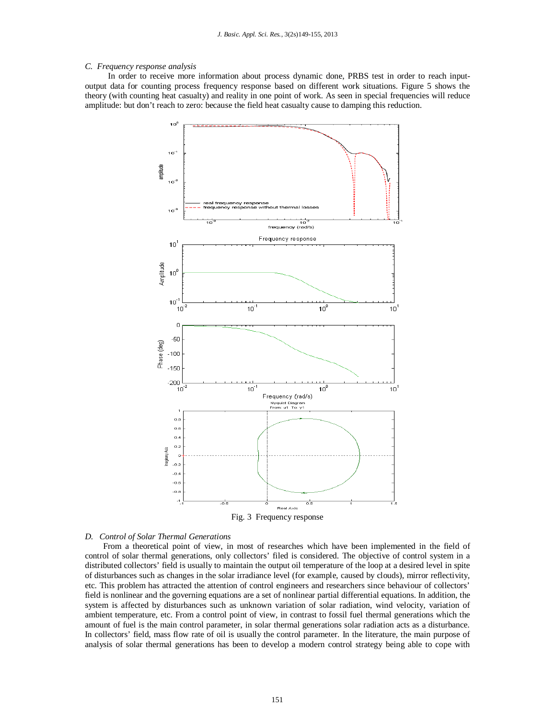### *C. Frequency response analysis*

In order to receive more information about process dynamic done, PRBS test in order to reach inputoutput data for counting process frequency response based on different work situations. Figure 5 shows the theory (with counting heat casualty) and reality in one point of work. As seen in special frequencies will reduce amplitude: but don't reach to zero: because the field heat casualty cause to damping this reduction.



### *D. Control of Solar Thermal Generations*

From a theoretical point of view, in most of researches which have been implemented in the field of control of solar thermal generations, only collectors' filed is considered. The objective of control system in a distributed collectors' field is usually to maintain the output oil temperature of the loop at a desired level in spite of disturbances such as changes in the solar irradiance level (for example, caused by clouds), mirror reflectivity, etc. This problem has attracted the attention of control engineers and researchers since behaviour of collectors' field is nonlinear and the governing equations are a set of nonlinear partial differential equations. In addition, the system is affected by disturbances such as unknown variation of solar radiation, wind velocity, variation of ambient temperature, etc. From a control point of view, in contrast to fossil fuel thermal generations which the amount of fuel is the main control parameter, in solar thermal generations solar radiation acts as a disturbance. In collectors' field, mass flow rate of oil is usually the control parameter. In the literature, the main purpose of analysis of solar thermal generations has been to develop a modern control strategy being able to cope with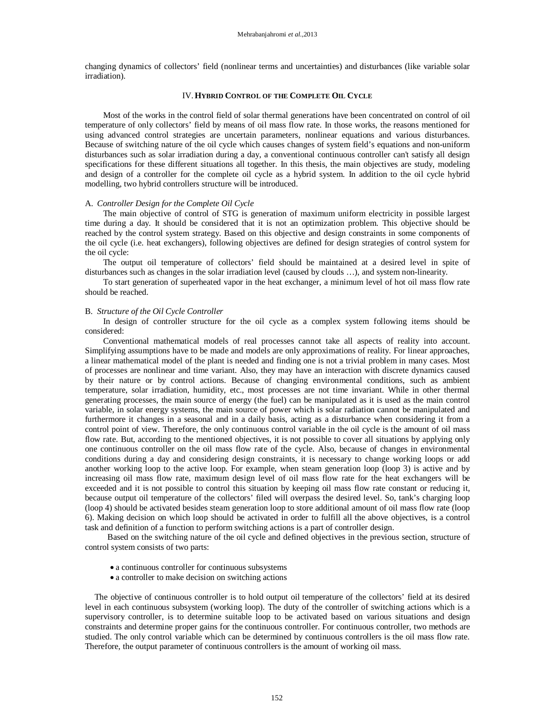changing dynamics of collectors' field (nonlinear terms and uncertainties) and disturbances (like variable solar irradiation).

### IV.**HYBRID CONTROL OF THE COMPLETE OIL CYCLE**

Most of the works in the control field of solar thermal generations have been concentrated on control of oil temperature of only collectors' field by means of oil mass flow rate. In those works, the reasons mentioned for using advanced control strategies are uncertain parameters, nonlinear equations and various disturbances. Because of switching nature of the oil cycle which causes changes of system field's equations and non-uniform disturbances such as solar irradiation during a day, a conventional continuous controller can't satisfy all design specifications for these different situations all together. In this thesis, the main objectives are study, modeling and design of a controller for the complete oil cycle as a hybrid system. In addition to the oil cycle hybrid modelling, two hybrid controllers structure will be introduced.

### A. *Controller Design for the Complete Oil Cycle*

The main objective of control of STG is generation of maximum uniform electricity in possible largest time during a day. It should be considered that it is not an optimization problem. This objective should be reached by the control system strategy. Based on this objective and design constraints in some components of the oil cycle (i.e. heat exchangers), following objectives are defined for design strategies of control system for the oil cycle:

The output oil temperature of collectors' field should be maintained at a desired level in spite of disturbances such as changes in the solar irradiation level (caused by clouds …), and system non-linearity.

To start generation of superheated vapor in the heat exchanger, a minimum level of hot oil mass flow rate should be reached.

### B. *Structure of the Oil Cycle Controller*

In design of controller structure for the oil cycle as a complex system following items should be considered:

Conventional mathematical models of real processes cannot take all aspects of reality into account. Simplifying assumptions have to be made and models are only approximations of reality. For linear approaches, a linear mathematical model of the plant is needed and finding one is not a trivial problem in many cases. Most of processes are nonlinear and time variant. Also, they may have an interaction with discrete dynamics caused by their nature or by control actions. Because of changing environmental conditions, such as ambient temperature, solar irradiation, humidity, etc., most processes are not time invariant. While in other thermal generating processes, the main source of energy (the fuel) can be manipulated as it is used as the main control variable, in solar energy systems, the main source of power which is solar radiation cannot be manipulated and furthermore it changes in a seasonal and in a daily basis, acting as a disturbance when considering it from a control point of view. Therefore, the only continuous control variable in the oil cycle is the amount of oil mass flow rate. But, according to the mentioned objectives, it is not possible to cover all situations by applying only one continuous controller on the oil mass flow rate of the cycle. Also, because of changes in environmental conditions during a day and considering design constraints, it is necessary to change working loops or add another working loop to the active loop. For example, when steam generation loop (loop 3) is active and by increasing oil mass flow rate, maximum design level of oil mass flow rate for the heat exchangers will be exceeded and it is not possible to control this situation by keeping oil mass flow rate constant or reducing it, because output oil temperature of the collectors' filed will overpass the desired level. So, tank's charging loop (loop 4) should be activated besides steam generation loop to store additional amount of oil mass flow rate (loop 6). Making decision on which loop should be activated in order to fulfill all the above objectives, is a control task and definition of a function to perform switching actions is a part of controller design.

 Based on the switching nature of the oil cycle and defined objectives in the previous section, structure of control system consists of two parts:

- a continuous controller for continuous subsystems
- a controller to make decision on switching actions

The objective of continuous controller is to hold output oil temperature of the collectors' field at its desired level in each continuous subsystem (working loop). The duty of the controller of switching actions which is a supervisory controller, is to determine suitable loop to be activated based on various situations and design constraints and determine proper gains for the continuous controller. For continuous controller, two methods are studied. The only control variable which can be determined by continuous controllers is the oil mass flow rate. Therefore, the output parameter of continuous controllers is the amount of working oil mass.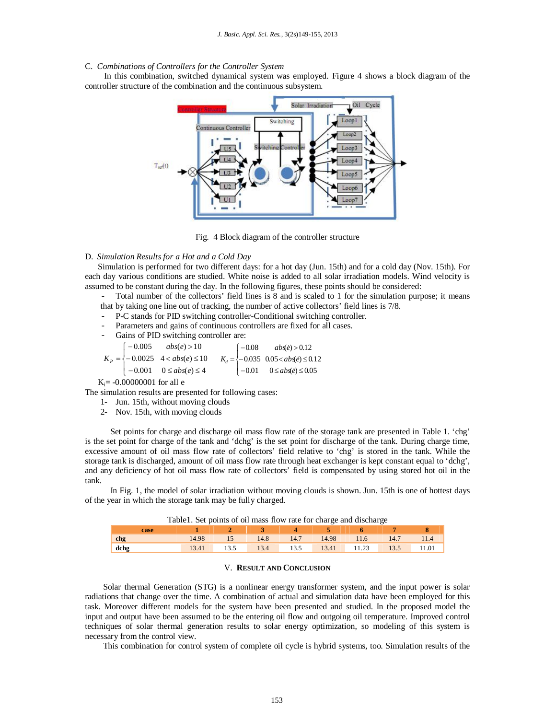### C. *Combinations of Controllers for the Controller System*

In this combination, switched dynamical system was employed. Figure 4 shows a block diagram of the controller structure of the combination and the continuous subsystem.



Fig. 4 Block diagram of the controller structure

### D. *Simulation Results for a Hot and a Cold Day*

 Simulation is performed for two different days: for a hot day (Jun. 15th) and for a cold day (Nov. 15th). For each day various conditions are studied. White noise is added to all solar irradiation models. Wind velocity is assumed to be constant during the day. In the following figures, these points should be considered:

- Total number of the collectors' field lines is 8 and is scaled to 1 for the simulation purpose; it means that by taking one line out of tracking, the number of active collectors' field lines is 7/8.

- P-C stands for PID switching controller-Conditional switching controller.
- Parameters and gains of continuous controllers are fixed for all cases.
- Gains of PID switching controller are:

$$
K_{P} = \begin{cases} -0.005 & abs(e) > 10 \\ -0.0025 & 4 < abs(e) \le 10 \\ -0.001 & 0 \le abs(e) \le 4 \end{cases} \qquad K_{d} = \begin{cases} -0.08 & abs(e) > 0.12 \\ -0.035 & 0.05 < abs(e) \le 0.12 \\ -0.01 & 0 \le abs(e) \le 0.05 \end{cases}
$$

 $K_i = -0.00000001$  for all e

The simulation results are presented for following cases:

- 1- Jun. 15th, without moving clouds
- 2- Nov. 15th, with moving clouds

Set points for charge and discharge oil mass flow rate of the storage tank are presented in Table 1. 'chg' is the set point for charge of the tank and 'dchg' is the set point for discharge of the tank. During charge time, excessive amount of oil mass flow rate of collectors' field relative to 'chg' is stored in the tank. While the storage tank is discharged, amount of oil mass flow rate through heat exchanger is kept constant equal to 'dchg', and any deficiency of hot oil mass flow rate of collectors' field is compensated by using stored hot oil in the tank.

In Fig. 1, the model of solar irradiation without moving clouds is shown. Jun. 15th is one of hottest days of the year in which the storage tank may be fully charged.

| Table1. Set points of oil mass flow rate for charge and discharge |  |
|-------------------------------------------------------------------|--|
|-------------------------------------------------------------------|--|

|      |       |                  |  | $1 \t 2 \t 3 \t 4 \t 5 \t 6 \t 7$ |  |                                             |
|------|-------|------------------|--|-----------------------------------|--|---------------------------------------------|
| chg  | 14.98 | $\sim$ 15 $\sim$ |  | 14.8 14.7 14.98 11.6 14.7 11.4    |  |                                             |
| dchg |       |                  |  |                                   |  | 13.41 13.5 13.4 13.5 13.41 11.23 13.5 11.01 |

### V. **RESULT AND CONCLUSION**

Solar thermal Generation (STG) is a nonlinear energy transformer system, and the input power is solar radiations that change over the time. A combination of actual and simulation data have been employed for this task. Moreover different models for the system have been presented and studied. In the proposed model the input and output have been assumed to be the entering oil flow and outgoing oil temperature. Improved control techniques of solar thermal generation results to solar energy optimization, so modeling of this system is necessary from the control view.

This combination for control system of complete oil cycle is hybrid systems, too. Simulation results of the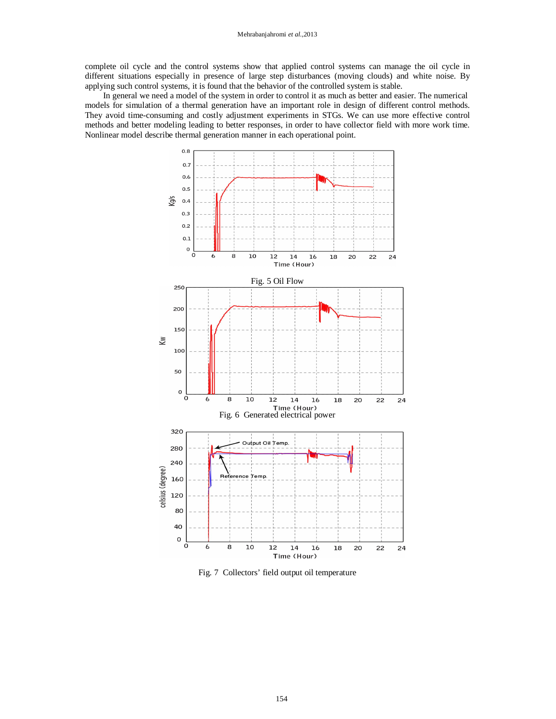complete oil cycle and the control systems show that applied control systems can manage the oil cycle in different situations especially in presence of large step disturbances (moving clouds) and white noise. By applying such control systems, it is found that the behavior of the controlled system is stable.

In general we need a model of the system in order to control it as much as better and easier. The numerical models for simulation of a thermal generation have an important role in design of different control methods. They avoid time-consuming and costly adjustment experiments in STGs. We can use more effective control methods and better modeling leading to better responses, in order to have collector field with more work time. Nonlinear model describe thermal generation manner in each operational point.



Fig. 7 Collectors' field output oil temperature